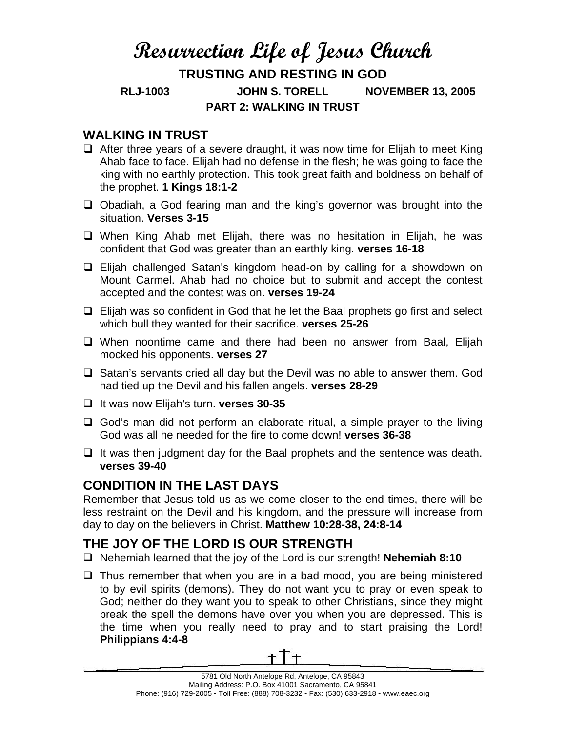# **Resurrection Life of Jesus Church**

## **TRUSTING AND RESTING IN GOD RLJ-1003 JOHN S. TORELL NOVEMBER 13, 2005 PART 2: WALKING IN TRUST**

#### **WALKING IN TRUST**

- $\Box$  After three years of a severe draught, it was now time for Elijah to meet King Ahab face to face. Elijah had no defense in the flesh; he was going to face the king with no earthly protection. This took great faith and boldness on behalf of the prophet. **1 Kings 18:1-2**
- $\Box$  Obadiah, a God fearing man and the king's governor was brought into the situation. **Verses 3-15**
- When King Ahab met Elijah, there was no hesitation in Elijah, he was confident that God was greater than an earthly king. **verses 16-18**
- Elijah challenged Satan's kingdom head-on by calling for a showdown on Mount Carmel. Ahab had no choice but to submit and accept the contest accepted and the contest was on. **verses 19-24**
- $\Box$  Elijah was so confident in God that he let the Baal prophets go first and select which bull they wanted for their sacrifice. **verses 25-26**
- When noontime came and there had been no answer from Baal, Elijah mocked his opponents. **verses 27**
- $\Box$  Satan's servants cried all day but the Devil was no able to answer them. God had tied up the Devil and his fallen angels. **verses 28-29**
- It was now Elijah's turn. **verses 30-35**
- $\Box$  God's man did not perform an elaborate ritual, a simple prayer to the living God was all he needed for the fire to come down! **verses 36-38**
- $\Box$  It was then judgment day for the Baal prophets and the sentence was death. **verses 39-40**

### **CONDITION IN THE LAST DAYS**

Remember that Jesus told us as we come closer to the end times, there will be less restraint on the Devil and his kingdom, and the pressure will increase from day to day on the believers in Christ. **Matthew 10:28-38, 24:8-14**

# **THE JOY OF THE LORD IS OUR STRENGTH**

- Nehemiah learned that the joy of the Lord is our strength! **Nehemiah 8:10**
- $\Box$  Thus remember that when you are in a bad mood, you are being ministered to by evil spirits (demons). They do not want you to pray or even speak to God; neither do they want you to speak to other Christians, since they might break the spell the demons have over you when you are depressed. This is the time when you really need to pray and to start praising the Lord! **Philippians 4:4-8**